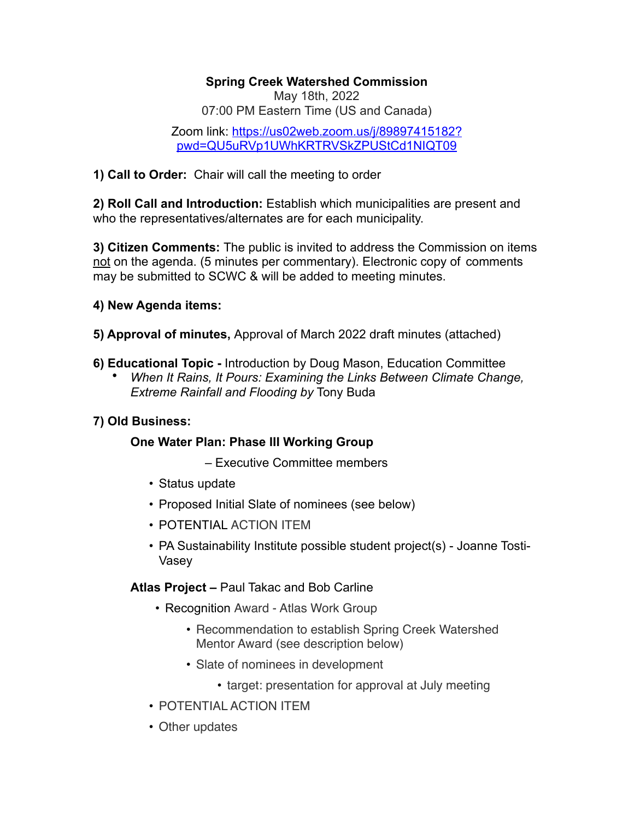### **Spring Creek Watershed Commission**

May 18th, 2022 07:00 PM Eastern Time (US and Canada)

[Zoom link: https://us02web.zoom.us/j/89897415182?](https://us02web.zoom.us/j/89897415182?pwd=QU5uRVp1UWhKRTRVSkZPUStCd1NIQT09) [pwd=QU5uRVp1UWhKRTRVSkZPUStCd1NIQT09](https://us02web.zoom.us/j/89897415182?pwd=QU5uRVp1UWhKRTRVSkZPUStCd1NIQT09)

**1) Call to Order:** Chair will call the meeting to order

**2) Roll Call and Introduction:** Establish which municipalities are present and who the representatives/alternates are for each municipality.

**3) Citizen Comments:** The public is invited to address the Commission on items not on the agenda. (5 minutes per commentary). Electronic copy of comments may be submitted to SCWC & will be added to meeting minutes.

## **4) New Agenda items:**

**5) Approval of minutes,** Approval of March 2022 draft minutes (attached)

- **6) Educational Topic** Introduction by Doug Mason, Education Committee
	- *When It Rains, It Pours: Examining the Links Between Climate Change, Extreme Rainfall and Flooding by* Tony Buda

## **7) Old Business:**

## **One Water Plan: Phase III Working Group**

– Executive Committee members

- Status update
- Proposed Initial Slate of nominees (see below)
- POTENTIAL ACTION ITEM
- PA Sustainability Institute possible student project(s) Joanne Tosti-Vasey

## **Atlas Project –** Paul Takac and Bob Carline

- Recognition Award Atlas Work Group
	- Recommendation to establish Spring Creek Watershed Mentor Award (see description below)
	- Slate of nominees in development
		- target: presentation for approval at July meeting
- POTENTIAL ACTION ITEM
- Other updates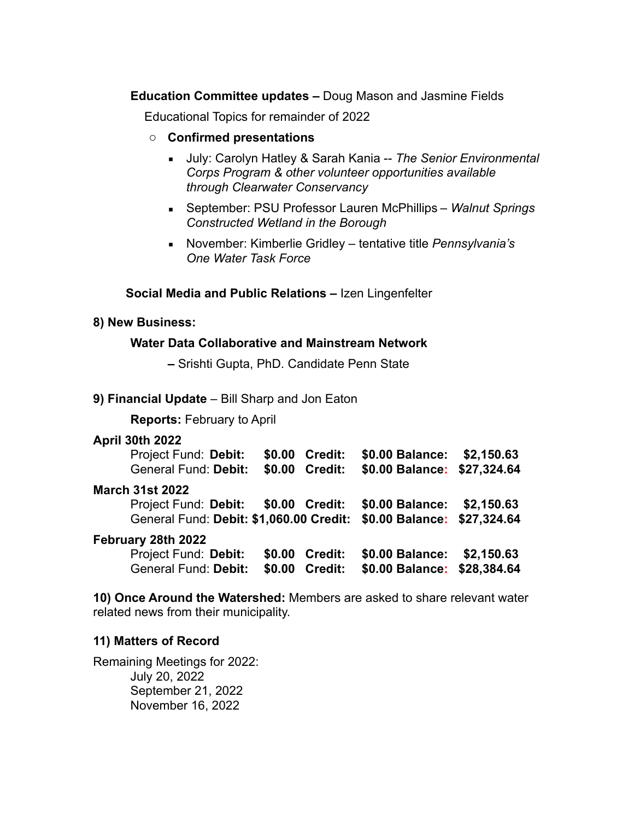**Education Committee updates –** Doug Mason and Jasmine Fields

Educational Topics for remainder of 2022

- o **Confirmed presentations**
	- July: Carolyn Hatley & Sarah Kania -- *The Senior Environmental Corps Program & other volunteer opportunities available through Clearwater Conservancy*
	- September: PSU Professor Lauren McPhillips *Walnut Springs Constructed Wetland in the Borough*
	- November: Kimberlie Gridley tentative title *Pennsylvania's One Water Task Force*

#### **Social Media and Public Relations –** Izen Lingenfelter

#### **8) New Business:**

#### **Water Data Collaborative and Mainstream Network**

**–** Srishti Gupta, PhD. Candidate Penn State

#### **9) Financial Update** – Bill Sharp and Jon Eaton

**Reports:** February to April

#### **April 30th 2022**

| Project Fund: Debit:                    | \$0.00 | <b>Credit:</b> | \$0.00 Balance: \$2,150.63  |  |
|-----------------------------------------|--------|----------------|-----------------------------|--|
| General Fund: Debit:                    |        | \$0.00 Credit: | \$0.00 Balance: \$27,324.64 |  |
| <b>March 31st 2022</b>                  |        |                |                             |  |
| Project Fund: Debit: \$0.00 Credit:     |        |                | \$0.00 Balance: \$2,150.63  |  |
| General Fund: Debit: \$1,060.00 Credit: |        |                | \$0.00 Balance: \$27,324.64 |  |
| February 28th 2022                      |        |                |                             |  |
| Project Fund: Debit:                    | \$0.00 | <b>Credit:</b> | \$0.00 Balance: \$2,150.63  |  |
| General Fund: Debit:                    | \$0.00 | Credit:        | \$0.00 Balance: \$28,384.64 |  |

**10) Once Around the Watershed:** Members are asked to share relevant water related news from their municipality.

#### **11) Matters of Record**

Remaining Meetings for 2022: July 20, 2022 September 21, 2022 November 16, 2022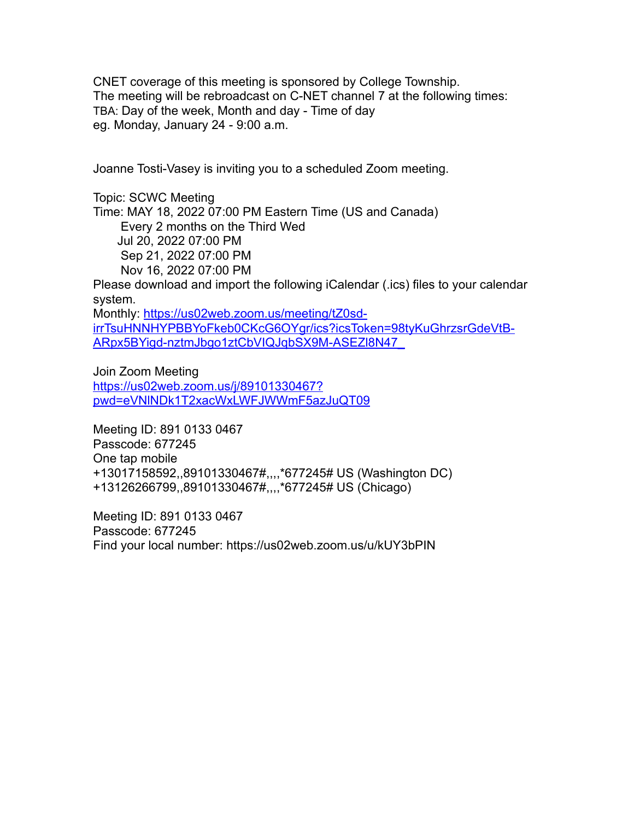CNET coverage of this meeting is sponsored by College Township. The meeting will be rebroadcast on C-NET channel 7 at the following times: TBA: Day of the week, Month and day - Time of day eg. Monday, January 24 - 9:00 a.m.

Joanne Tosti-Vasey is inviting you to a scheduled Zoom meeting.

Topic: SCWC Meeting Time: MAY 18, 2022 07:00 PM Eastern Time (US and Canada) Every 2 months on the Third Wed Jul 20, 2022 07:00 PM Sep 21, 2022 07:00 PM Nov 16, 2022 07:00 PM

Please download and import the following iCalendar (.ics) files to your calendar system.

Monthly: [https://us02web.zoom.us/meeting/tZ0sd](https://us02web.zoom.us/meeting/tZ0sd-irrTsuHNNHYPBBYoFkeb0CKcG6OYgr/ics?icsToken=98tyKuGhrzsrGdeVtB-ARpx5BYigd-nztmJbgo1ztCbVIQJqbSX9M-ASEZl8N47_)[irrTsuHNNHYPBBYoFkeb0CKcG6OYgr/ics?icsToken=98tyKuGhrzsrGdeVtB-](https://us02web.zoom.us/meeting/tZ0sd-irrTsuHNNHYPBBYoFkeb0CKcG6OYgr/ics?icsToken=98tyKuGhrzsrGdeVtB-ARpx5BYigd-nztmJbgo1ztCbVIQJqbSX9M-ASEZl8N47_)[ARpx5BYigd-nztmJbgo1ztCbVIQJqbSX9M-ASEZl8N47\\_](https://us02web.zoom.us/meeting/tZ0sd-irrTsuHNNHYPBBYoFkeb0CKcG6OYgr/ics?icsToken=98tyKuGhrzsrGdeVtB-ARpx5BYigd-nztmJbgo1ztCbVIQJqbSX9M-ASEZl8N47_)

Join Zoom Meeting [https://us02web.zoom.us/j/89101330467?](https://us02web.zoom.us/j/89101330467?pwd=eVNlNDk1T2xacWxLWFJWWmF5azJuQT09) [pwd=eVNlNDk1T2xacWxLWFJWWmF5azJuQT09](https://us02web.zoom.us/j/89101330467?pwd=eVNlNDk1T2xacWxLWFJWWmF5azJuQT09)

Meeting ID: 891 0133 0467 Passcode: 677245 One tap mobile +13017158592,,89101330467#,,,,\*677245# US (Washington DC) +13126266799,,89101330467#,,,,\*677245# US (Chicago)

Meeting ID: 891 0133 0467 Passcode: 677245 Find your local number: https://us02web.zoom.us/u/kUY3bPIN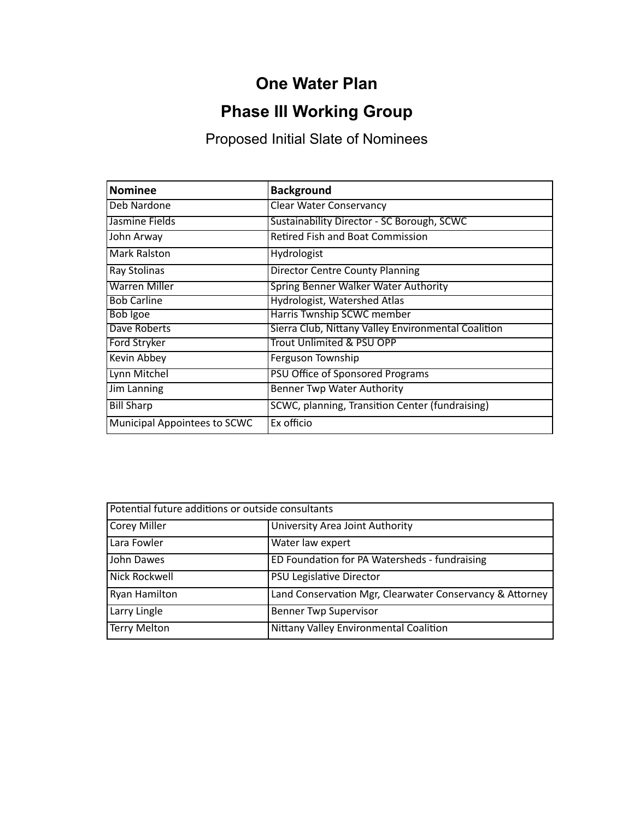## **One Water Plan**

# **Phase III Working Group**

Proposed Initial Slate of Nominees

| <b>Nominee</b>               | <b>Background</b>                                   |  |  |
|------------------------------|-----------------------------------------------------|--|--|
| Deb Nardone                  | <b>Clear Water Conservancy</b>                      |  |  |
| Jasmine Fields               | Sustainability Director - SC Borough, SCWC          |  |  |
| John Arway                   | <b>Retired Fish and Boat Commission</b>             |  |  |
| Mark Ralston                 | Hydrologist                                         |  |  |
| Ray Stolinas                 | <b>Director Centre County Planning</b>              |  |  |
| <b>Warren Miller</b>         | Spring Benner Walker Water Authority                |  |  |
| <b>Bob Carline</b>           | Hydrologist, Watershed Atlas                        |  |  |
| <b>Bob Igoe</b>              | Harris Twnship SCWC member                          |  |  |
| Dave Roberts                 | Sierra Club, Nittany Valley Environmental Coalition |  |  |
| Ford Stryker                 | <b>Trout Unlimited &amp; PSU OPP</b>                |  |  |
| Kevin Abbey                  | Ferguson Township                                   |  |  |
| Lynn Mitchel                 | <b>PSU Office of Sponsored Programs</b>             |  |  |
| Jim Lanning                  | <b>Benner Twp Water Authority</b>                   |  |  |
| <b>Bill Sharp</b>            | SCWC, planning, Transition Center (fundraising)     |  |  |
| Municipal Appointees to SCWC | Ex officio                                          |  |  |

| Potential future additions or outside consultants |                                                          |  |  |  |
|---------------------------------------------------|----------------------------------------------------------|--|--|--|
| <b>Corey Miller</b>                               | University Area Joint Authority                          |  |  |  |
| Lara Fowler                                       | Water law expert                                         |  |  |  |
| John Dawes                                        | ED Foundation for PA Watersheds - fundraising            |  |  |  |
| Nick Rockwell                                     | <b>PSU Legislative Director</b>                          |  |  |  |
| <b>Ryan Hamilton</b>                              | Land Conservation Mgr, Clearwater Conservancy & Attorney |  |  |  |
| Larry Lingle                                      | <b>Benner Twp Supervisor</b>                             |  |  |  |
| Terry Melton                                      | Nittany Valley Environmental Coalition                   |  |  |  |